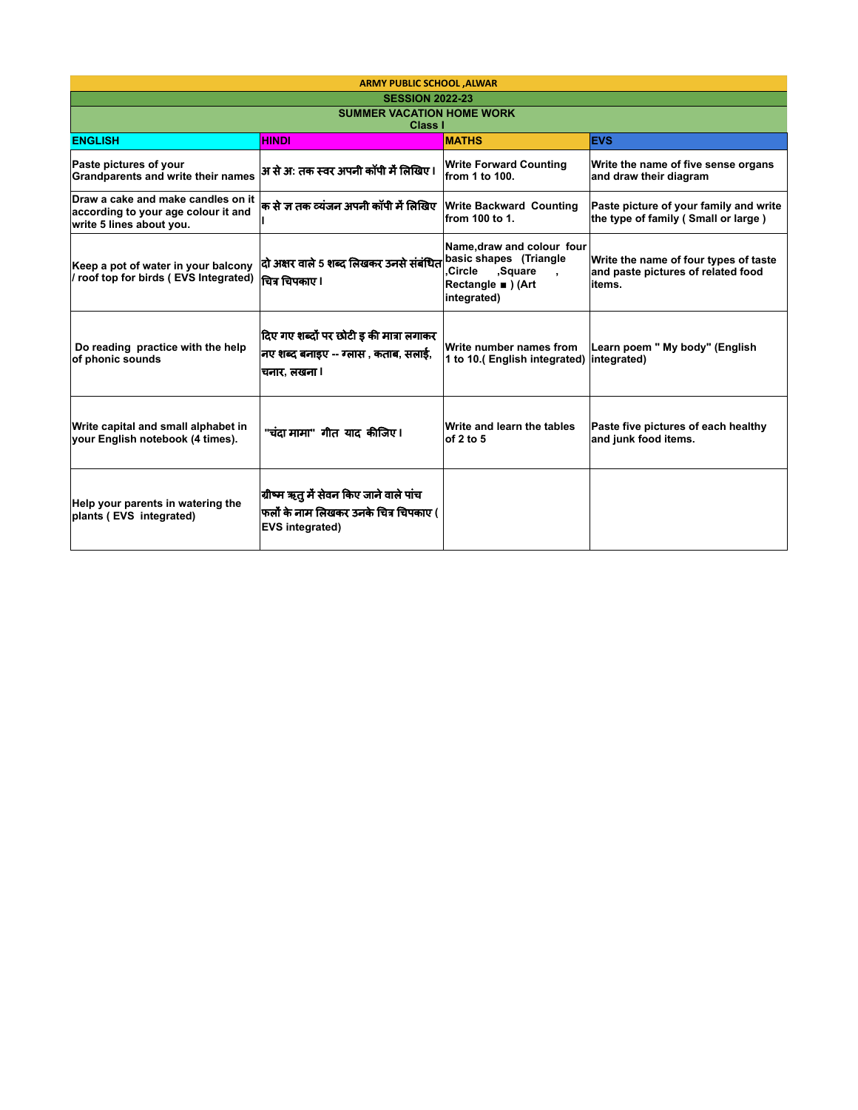| <b>ARMY PUBLIC SCHOOL , ALWAR</b>                                                                     |                                                                                                            |                                                                                                                                 |                                                                                       |  |
|-------------------------------------------------------------------------------------------------------|------------------------------------------------------------------------------------------------------------|---------------------------------------------------------------------------------------------------------------------------------|---------------------------------------------------------------------------------------|--|
| <b>SESSION 2022-23</b>                                                                                |                                                                                                            |                                                                                                                                 |                                                                                       |  |
| <b>SUMMER VACATION HOME WORK</b><br>Class I                                                           |                                                                                                            |                                                                                                                                 |                                                                                       |  |
| <b>ENGLISH</b>                                                                                        | <b>HINDI</b>                                                                                               | <b>MATHS</b>                                                                                                                    | <b>EVS</b>                                                                            |  |
| Paste pictures of your<br>Grandparents and write their names                                          | अ से अ: तक स्वर अपनी कॉपी में लिखिए                                                                        | <b>Write Forward Counting</b><br>from 1 to 100.                                                                                 | Write the name of five sense organs<br>and draw their diagram                         |  |
| Draw a cake and make candles on it<br>according to your age colour it and<br>write 5 lines about you. | क से ज तक व्यंजन अपनी कॉपी में लिखिए                                                                       | <b>Write Backward Counting</b><br>from 100 to 1.                                                                                | Paste picture of your family and write<br>the type of family (Small or large)         |  |
| Keep a pot of water in your balcony<br>/ roof top for birds (EVS Integrated)                          | दो अक्षर वाले 5 शब्द लिखकर उनसे संबंधित <br>चित्र चिपकाए ।                                                 | Name, draw and colour four<br>basic shapes (Triangle<br>.Circle<br>Square.<br>$\mathbf{r}$<br>Rectangle ■ ) (Art<br>integrated) | Write the name of four types of taste<br>and paste pictures of related food<br>items. |  |
| Do reading practice with the help<br>of phonic sounds                                                 | दिए गए शब्दों पर छोटी इ की मात्रा लगाकर<br>निए शब्द बनाइए -- ग्लास , कताब, सलाई,<br>चनार. लखना ।           | Write number names from<br>1 to 10.(English integrated) integrated)                                                             | Learn poem " My body" (English                                                        |  |
| Write capital and small alphabet in<br>vour English notebook (4 times).                               | "चंदा मामा" गीत याद कीजिए।                                                                                 | Write and learn the tables<br>of $2$ to $5$                                                                                     | Paste five pictures of each healthy<br>and junk food items.                           |  |
| Help your parents in watering the<br>plants (EVS integrated)                                          | ग्रीष्म ऋतु में सेवन किए जाने वाले पांच<br>फलों के नाम लिखकर उनके चित्र चिपकाए (<br><b>EVS</b> integrated) |                                                                                                                                 |                                                                                       |  |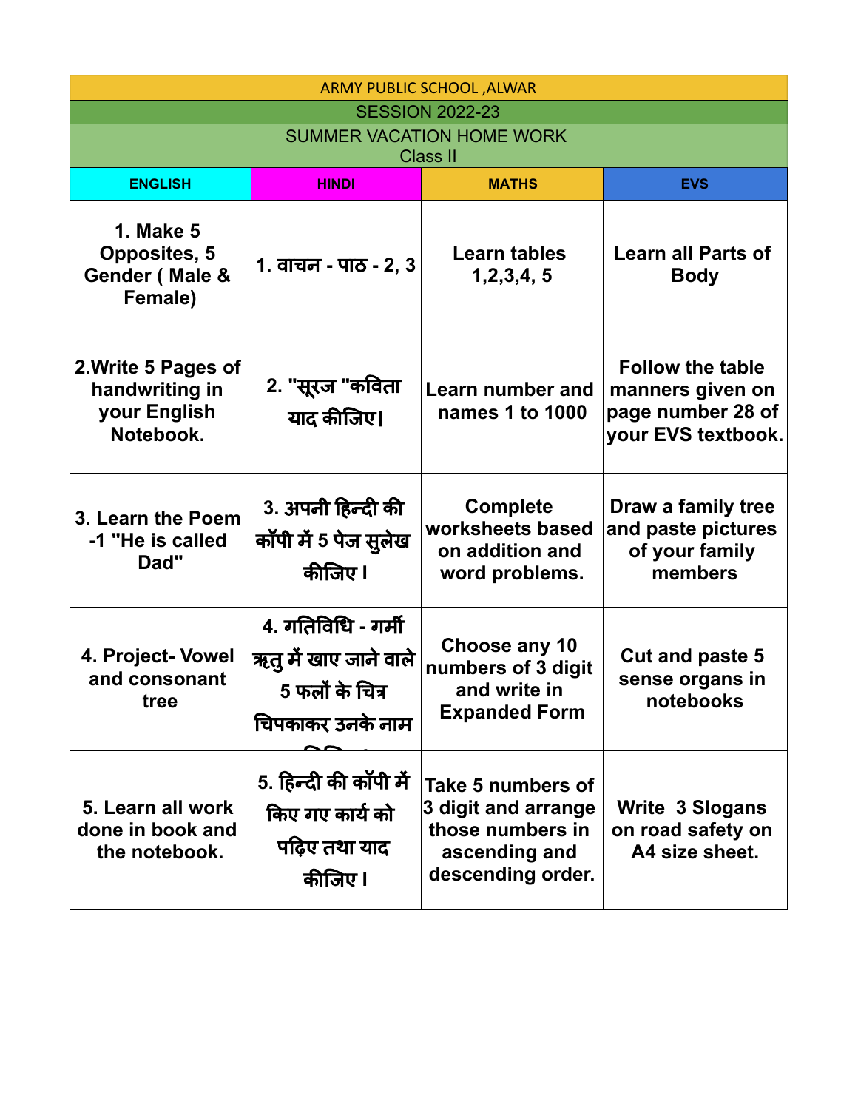| ARMY PUBLIC SCHOOL , ALWAR                                           |                                                                                        |                                                                                                    |                                                                                        |
|----------------------------------------------------------------------|----------------------------------------------------------------------------------------|----------------------------------------------------------------------------------------------------|----------------------------------------------------------------------------------------|
| <b>SESSION 2022-23</b><br><b>SUMMER VACATION HOME WORK</b>           |                                                                                        |                                                                                                    |                                                                                        |
| <b>Class II</b>                                                      |                                                                                        |                                                                                                    |                                                                                        |
| <b>ENGLISH</b>                                                       | <b>HINDI</b>                                                                           | <b>MATHS</b>                                                                                       | <b>EVS</b>                                                                             |
| <b>1. Make 5</b><br><b>Opposites, 5</b><br>Gender (Male &<br>Female) | 1. वाचन - पाठ - 2, 3                                                                   | Learn tables<br>1,2,3,4,5                                                                          | <b>Learn all Parts of</b><br><b>Body</b>                                               |
| 2. Write 5 Pages of<br>handwriting in<br>your English<br>Notebook.   | 2. "सूरज "कविता<br>याद कीजिए।                                                          | Learn number and<br>names 1 to 1000                                                                | <b>Follow the table</b><br>manners given on<br>page number 28 of<br>your EVS textbook. |
| 3. Learn the Poem<br>-1 "He is called<br>Dad"                        | 3. अपनी हिन्दी की<br>कॉपी में 5 पेज सुलेख<br>कीजिए।                                    | <b>Complete</b><br>worksheets based<br>on addition and<br>word problems.                           | Draw a family tree<br>and paste pictures<br>of your family<br>members                  |
| 4. Project- Vowel<br>and consonant<br>tree                           | 4. गतिविधि - गर्मी<br>$ $ ऋतु में खाए जाने वाले<br>5 फलों के चित्र<br>चिपकाकर उनके नाम | Choose any 10<br>numbers of 3 digit<br>and write in<br><b>Expanded Form</b>                        | <b>Cut and paste 5</b><br>sense organs in<br>notebooks                                 |
| 5. Learn all work<br>done in book and<br>the notebook.               | 5. हिन्दी की कॉपी में<br>किए गए कार्य को<br>पढ़िए तथा याद<br>कीजिए।                    | Take 5 numbers of<br>3 digit and arrange<br>those numbers in<br>ascending and<br>descending order. | <b>Write 3 Slogans</b><br>on road safety on<br>A4 size sheet.                          |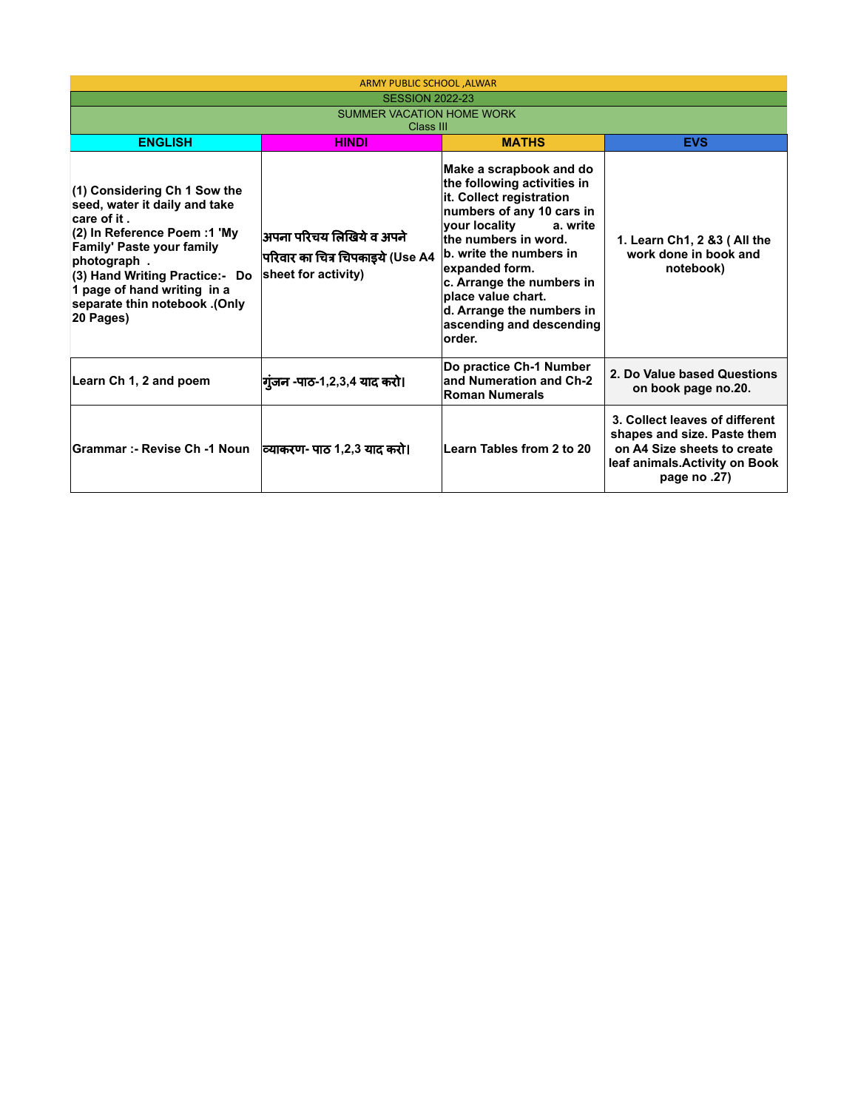| ARMY PUBLIC SCHOOL , ALWAR                                                                                                                                                                                                                                                     |                                                                                     |                                                                                                                                                                                                                                                                                                                                          |                                                                                                                                                   |  |
|--------------------------------------------------------------------------------------------------------------------------------------------------------------------------------------------------------------------------------------------------------------------------------|-------------------------------------------------------------------------------------|------------------------------------------------------------------------------------------------------------------------------------------------------------------------------------------------------------------------------------------------------------------------------------------------------------------------------------------|---------------------------------------------------------------------------------------------------------------------------------------------------|--|
| <b>SESSION 2022-23</b>                                                                                                                                                                                                                                                         |                                                                                     |                                                                                                                                                                                                                                                                                                                                          |                                                                                                                                                   |  |
| SUMMER VACATION HOME WORK<br>Class III                                                                                                                                                                                                                                         |                                                                                     |                                                                                                                                                                                                                                                                                                                                          |                                                                                                                                                   |  |
| <b>ENGLISH</b>                                                                                                                                                                                                                                                                 | <b>HINDI</b>                                                                        | <b>MATHS</b>                                                                                                                                                                                                                                                                                                                             | <b>EVS</b>                                                                                                                                        |  |
| (1) Considering Ch 1 Sow the<br>seed, water it daily and take<br>care of it.<br>(2) In Reference Poem :1 'My<br><b>Family' Paste your family</b><br>photograph.<br>(3) Hand Writing Practice:- Do<br>1 page of hand writing in a<br>separate thin notebook .(Only<br>20 Pages) | अपना परिचय लिखिये व अपने<br>परिवार का चित्र चिपकाइये (Use A4<br>sheet for activity) | Make a scrapbook and do<br>the following activities in<br>it. Collect registration<br>numbers of any 10 cars in<br>your locality<br>a. write<br>the numbers in word.<br>b. write the numbers in<br>expanded form.<br>c. Arrange the numbers in<br>place value chart.<br>d. Arrange the numbers in<br>ascending and descending<br>lorder. | 1. Learn Ch1, 2 &3 (All the<br>work done in book and<br>notebook)                                                                                 |  |
| Learn Ch 1, 2 and poem                                                                                                                                                                                                                                                         | गुजन -पाठ-1,2,3,4 याद करो।                                                          | Do practice Ch-1 Number<br>and Numeration and Ch-2<br><b>Roman Numerals</b>                                                                                                                                                                                                                                                              | 2. Do Value based Questions<br>on book page no.20.                                                                                                |  |
| Grammar :- Revise Ch -1 Noun  व्याकरण- पाठ 1,2,3 याद करो।                                                                                                                                                                                                                      |                                                                                     | Learn Tables from 2 to 20                                                                                                                                                                                                                                                                                                                | 3. Collect leaves of different<br>shapes and size. Paste them<br>on A4 Size sheets to create<br>leaf animals. Activity on Book<br>page no $.27$ ) |  |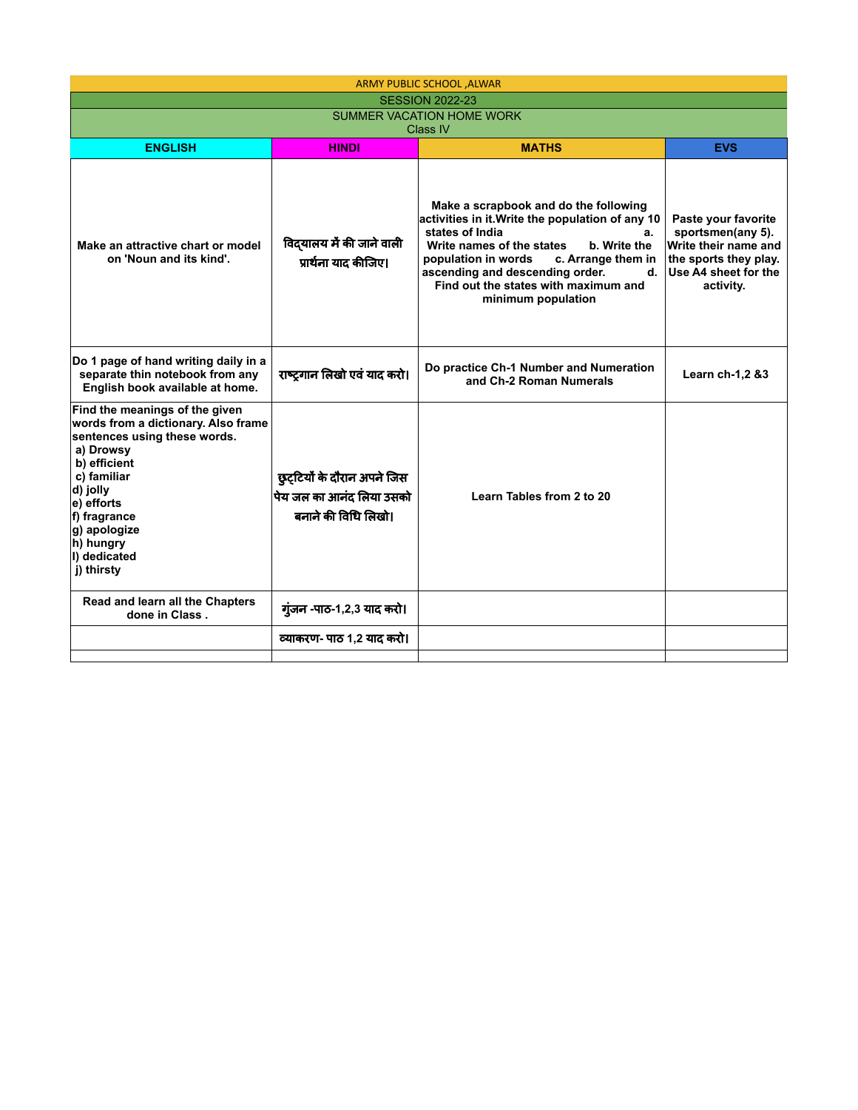|                                                                                                                                                                                                                                                        |                                                                                | <b>ARMY PUBLIC SCHOOL , ALWAR</b>                                                                                                                                                                                                                                                                                   |                                                                                                                                |  |
|--------------------------------------------------------------------------------------------------------------------------------------------------------------------------------------------------------------------------------------------------------|--------------------------------------------------------------------------------|---------------------------------------------------------------------------------------------------------------------------------------------------------------------------------------------------------------------------------------------------------------------------------------------------------------------|--------------------------------------------------------------------------------------------------------------------------------|--|
|                                                                                                                                                                                                                                                        |                                                                                | <b>SESSION 2022-23</b>                                                                                                                                                                                                                                                                                              |                                                                                                                                |  |
| SUMMER VACATION HOME WORK<br>Class IV                                                                                                                                                                                                                  |                                                                                |                                                                                                                                                                                                                                                                                                                     |                                                                                                                                |  |
| <b>ENGLISH</b>                                                                                                                                                                                                                                         | <b>HINDI</b>                                                                   | <b>MATHS</b><br><b>EVS</b>                                                                                                                                                                                                                                                                                          |                                                                                                                                |  |
| Make an attractive chart or model<br>on 'Noun and its kind'.                                                                                                                                                                                           | विद्यालय में की जाने वाली<br>प्रार्थना याद कीजिए।                              | Make a scrapbook and do the following<br>activities in it. Write the population of any 10<br>states of India<br>a.<br>Write names of the states<br>b. Write the<br>population in words<br>c. Arrange them in<br>ascending and descending order.<br>d.<br>Find out the states with maximum and<br>minimum population | Paste your favorite<br>sportsmen(any 5).<br>Write their name and<br>the sports they play.<br>Use A4 sheet for the<br>activity. |  |
| Do 1 page of hand writing daily in a<br>separate thin notebook from any<br>English book available at home.                                                                                                                                             | राष्ट्रगान लिखो एवं याद करो।                                                   | Do practice Ch-1 Number and Numeration<br>and Ch-2 Roman Numerals                                                                                                                                                                                                                                                   | Learn ch-1,2 &3                                                                                                                |  |
| Find the meanings of the given<br>words from a dictionary. Also frame<br>sentences using these words.<br>a) Drowsy<br>b) efficient<br>c) familiar<br>d) jolly<br>e) efforts<br>f) fragrance<br>g) apologize<br>h) hungry<br>I) dedicated<br>j) thirsty | छुट्टियों के दौरान अपने जिस<br>पेय जल का आनंद लिया उसको<br>बनाने की विधि लिखो। | Learn Tables from 2 to 20                                                                                                                                                                                                                                                                                           |                                                                                                                                |  |
| Read and learn all the Chapters<br>done in Class.                                                                                                                                                                                                      | गुंजन -पाठ-1,2,3 याद करो।                                                      |                                                                                                                                                                                                                                                                                                                     |                                                                                                                                |  |
|                                                                                                                                                                                                                                                        | व्याकरण- पाठ 1,2 याद करो।                                                      |                                                                                                                                                                                                                                                                                                                     |                                                                                                                                |  |
|                                                                                                                                                                                                                                                        |                                                                                |                                                                                                                                                                                                                                                                                                                     |                                                                                                                                |  |